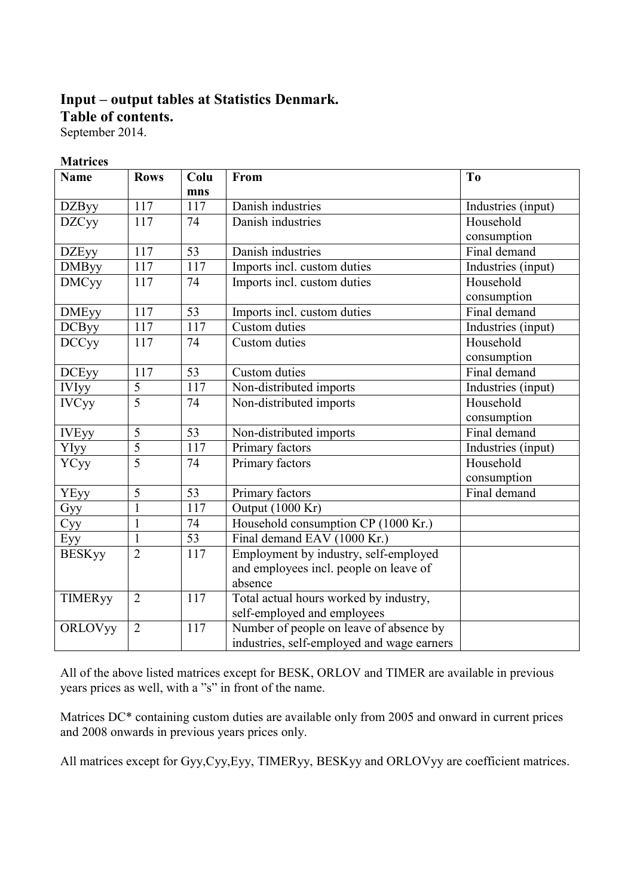## **Input – output tables at Statistics Denmark.**

**Table of contents.** 

September 2014.

#### **Matrices**

| <b>Name</b>    | <b>Rows</b>    | Colu            | From                                              | T <sub>0</sub>     |
|----------------|----------------|-----------------|---------------------------------------------------|--------------------|
|                |                | mns             |                                                   |                    |
| <b>DZByy</b>   | 117            | 117             | Danish industries                                 | Industries (input) |
| <b>DZCyy</b>   | 117            | 74              | Danish industries                                 | Household          |
|                |                |                 |                                                   | consumption        |
| <b>DZEyy</b>   | 117            | $\overline{53}$ | Danish industries                                 | Final demand       |
| <b>DMByy</b>   | 117            | 117             | Imports incl. custom duties<br>Industries (input) |                    |
| <b>DMCyy</b>   | 117            | 74              | Imports incl. custom duties                       | Household          |
|                |                |                 |                                                   | consumption        |
| <b>DMEyy</b>   | 117            | 53              | Imports incl. custom duties                       | Final demand       |
| <b>DCByy</b>   | 117            | 117             | Custom duties                                     | Industries (input) |
| <b>DCCyy</b>   | 117            | 74              | Custom duties                                     | Household          |
|                |                |                 |                                                   | consumption        |
| <b>DCEyy</b>   | 117            | 53              | Custom duties                                     | Final demand       |
| <b>IVIyy</b>   | $\overline{5}$ | 117             | Non-distributed imports                           | Industries (input) |
| <b>IVCyy</b>   | $\overline{5}$ | 74              | Non-distributed imports                           | Household          |
|                |                |                 |                                                   | consumption        |
| <b>IVEyy</b>   | $\overline{5}$ | $\overline{53}$ | Non-distributed imports                           | Final demand       |
| YIyy           | $\overline{5}$ | 117             | Primary factors                                   | Industries (input) |
| YCyy           | $\overline{5}$ | 74              | Primary factors                                   | Household          |
|                |                |                 |                                                   | consumption        |
| <b>YEyy</b>    | 5              | 53              | Primary factors                                   | Final demand       |
| Gyy            | $\mathbf{1}$   | 117             | Output (1000 Kr)                                  |                    |
| Cyy            | $\mathbf{1}$   | 74              | Household consumption CP (1000 Kr.)               |                    |
| Eyy            | $\mathbf{1}$   | $\overline{53}$ | Final demand EAV (1000 Kr.)                       |                    |
| <b>BESKyy</b>  | $\overline{2}$ | 117             | Employment by industry, self-employed             |                    |
|                |                |                 | and employees incl. people on leave of            |                    |
|                |                |                 | absence                                           |                    |
| <b>TIMERyy</b> | $\overline{2}$ | 117             | Total actual hours worked by industry,            |                    |
|                |                |                 | self-employed and employees                       |                    |
| <b>ORLOVyy</b> | $\overline{2}$ | 117             | Number of people on leave of absence by           |                    |
|                |                |                 | industries, self-employed and wage earners        |                    |

All of the above listed matrices except for BESK, ORLOV and TIMER are available in previous years prices as well, with a "s" in front of the name.

Matrices DC\* containing custom duties are available only from 2005 and onward in current prices and 2008 onwards in previous years prices only.

All matrices except for Gyy,Cyy,Eyy, TIMERyy, BESKyy and ORLOVyy are coefficient matrices.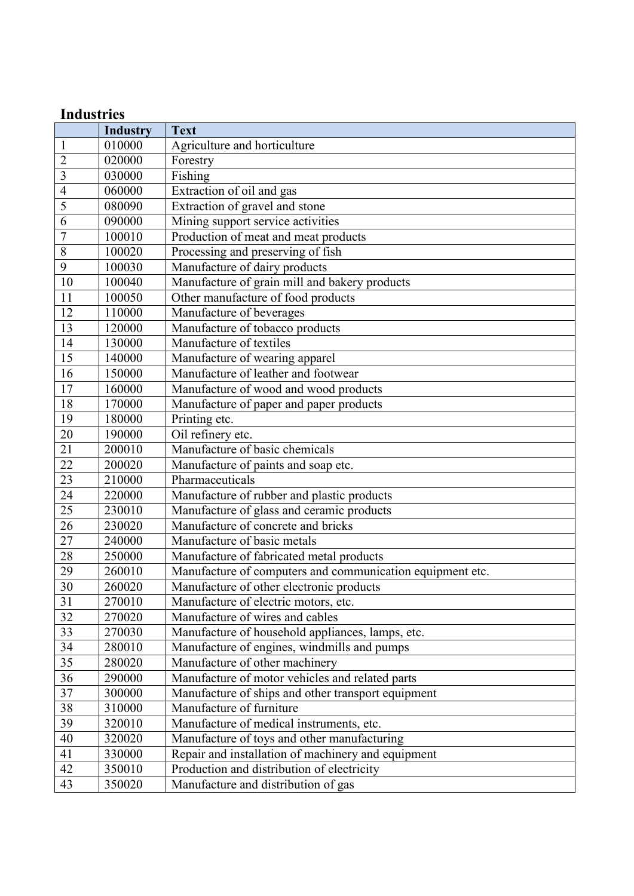## **Industries**

|                 | <b>Industry</b> | <b>Text</b>                                               |
|-----------------|-----------------|-----------------------------------------------------------|
| $\mathbf{1}$    | 010000          | Agriculture and horticulture                              |
| $\overline{2}$  | 020000          | Forestry                                                  |
| $\overline{3}$  | 030000          | Fishing                                                   |
| $\overline{4}$  | 060000          | Extraction of oil and gas                                 |
| 5               | 080090          | Extraction of gravel and stone                            |
| 6               | 090000          | Mining support service activities                         |
| $\overline{7}$  | 100010          | Production of meat and meat products                      |
| $\overline{8}$  | 100020          | Processing and preserving of fish                         |
| 9               | 100030          | Manufacture of dairy products                             |
| 10              | 100040          | Manufacture of grain mill and bakery products             |
| 11              | 100050          | Other manufacture of food products                        |
| 12              | 110000          | Manufacture of beverages                                  |
| 13              | 120000          | Manufacture of tobacco products                           |
| 14              | 130000          | Manufacture of textiles                                   |
| 15              | 140000          | Manufacture of wearing apparel                            |
| 16              | 150000          | Manufacture of leather and footwear                       |
| 17              | 160000          | Manufacture of wood and wood products                     |
| 18              | 170000          | Manufacture of paper and paper products                   |
| 19              | 180000          | Printing etc.                                             |
| 20              | 190000          | Oil refinery etc.                                         |
| $\overline{21}$ | 200010          | Manufacture of basic chemicals                            |
| 22              | 200020          | Manufacture of paints and soap etc.                       |
| 23              | 210000          | Pharmaceuticals                                           |
| 24              | 220000          | Manufacture of rubber and plastic products                |
| 25              | 230010          | Manufacture of glass and ceramic products                 |
| 26              | 230020          | Manufacture of concrete and bricks                        |
| 27              | 240000          | Manufacture of basic metals                               |
| 28              | 250000          | Manufacture of fabricated metal products                  |
| 29              | 260010          | Manufacture of computers and communication equipment etc. |
| 30              | 260020          | Manufacture of other electronic products                  |
| $\overline{31}$ | 270010          | Manufacture of electric motors, etc.                      |
| $\overline{32}$ | 270020          | Manufacture of wires and cables                           |
| $\overline{33}$ | 270030          | Manufacture of household appliances, lamps, etc.          |
| 34              | 280010          | Manufacture of engines, windmills and pumps               |
| $\overline{35}$ | 280020          | Manufacture of other machinery                            |
| 36              | 290000          | Manufacture of motor vehicles and related parts           |
| $\overline{37}$ | 300000          | Manufacture of ships and other transport equipment        |
| 38              | 310000          | Manufacture of furniture                                  |
| 39              | 320010          | Manufacture of medical instruments, etc.                  |
| 40              | 320020          | Manufacture of toys and other manufacturing               |
| 41              | 330000          | Repair and installation of machinery and equipment        |
| 42              | 350010          | Production and distribution of electricity                |
| 43              | 350020          | Manufacture and distribution of gas                       |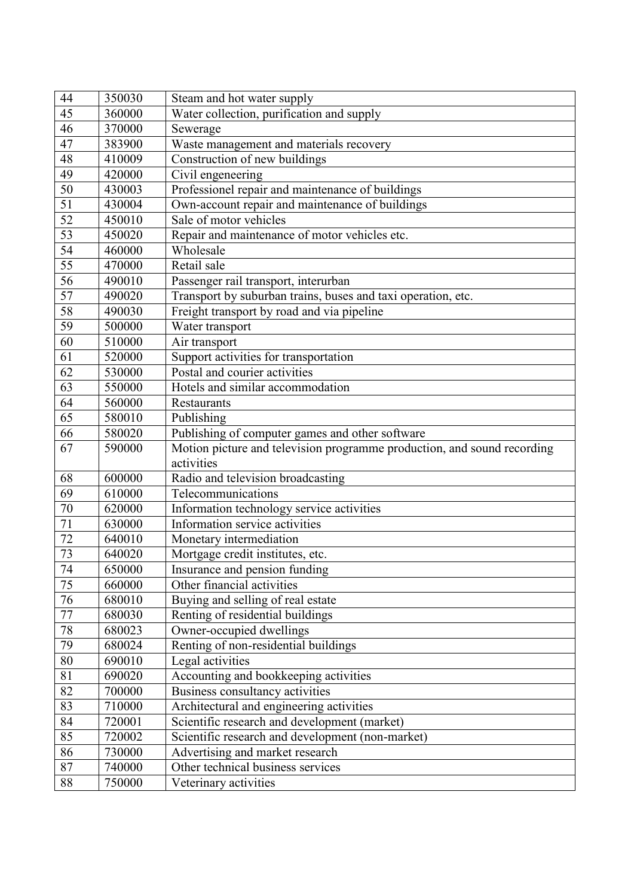| 44              | 350030 | Steam and hot water supply                                              |  |  |
|-----------------|--------|-------------------------------------------------------------------------|--|--|
| 45              | 360000 | Water collection, purification and supply                               |  |  |
| 46              | 370000 | Sewerage                                                                |  |  |
| 47              | 383900 | Waste management and materials recovery                                 |  |  |
| 48              | 410009 | Construction of new buildings                                           |  |  |
| 49              | 420000 | Civil engeneering                                                       |  |  |
| 50              | 430003 | Professionel repair and maintenance of buildings                        |  |  |
| 51              | 430004 | Own-account repair and maintenance of buildings                         |  |  |
| 52              | 450010 | Sale of motor vehicles                                                  |  |  |
| 53              | 450020 | Repair and maintenance of motor vehicles etc.                           |  |  |
| 54              | 460000 | Wholesale                                                               |  |  |
| 55              | 470000 | Retail sale                                                             |  |  |
| 56              | 490010 | Passenger rail transport, interurban                                    |  |  |
| 57              | 490020 | Transport by suburban trains, buses and taxi operation, etc.            |  |  |
| 58              | 490030 | Freight transport by road and via pipeline                              |  |  |
| 59              | 500000 | Water transport                                                         |  |  |
| 60              | 510000 | Air transport                                                           |  |  |
| 61              | 520000 | Support activities for transportation                                   |  |  |
| 62              | 530000 | Postal and courier activities                                           |  |  |
| 63              | 550000 | Hotels and similar accommodation                                        |  |  |
| 64              | 560000 | Restaurants                                                             |  |  |
| 65              | 580010 | Publishing                                                              |  |  |
| 66              | 580020 | Publishing of computer games and other software                         |  |  |
|                 |        |                                                                         |  |  |
| 67              | 590000 | Motion picture and television programme production, and sound recording |  |  |
|                 |        | activities                                                              |  |  |
| 68              | 600000 | Radio and television broadcasting                                       |  |  |
| 69              | 610000 | Telecommunications                                                      |  |  |
| $70\,$          | 620000 | Information technology service activities                               |  |  |
| 71              | 630000 | Information service activities                                          |  |  |
| 72              | 640010 | Monetary intermediation                                                 |  |  |
| 73              | 640020 | Mortgage credit institutes, etc.                                        |  |  |
| 74              | 650000 | Insurance and pension funding                                           |  |  |
| $\overline{75}$ | 660000 | Other financial activities                                              |  |  |
| 76              | 680010 | Buying and selling of real estate                                       |  |  |
| $77\,$          | 680030 | Renting of residential buildings                                        |  |  |
| $78\,$          | 680023 | Owner-occupied dwellings                                                |  |  |
| 79              | 680024 | Renting of non-residential buildings                                    |  |  |
| 80              | 690010 | Legal activities                                                        |  |  |
| 81              | 690020 | Accounting and bookkeeping activities                                   |  |  |
| 82              | 700000 | Business consultancy activities                                         |  |  |
| 83              | 710000 | Architectural and engineering activities                                |  |  |
| 84              | 720001 | Scientific research and development (market)                            |  |  |
| 85              | 720002 | Scientific research and development (non-market)                        |  |  |
| 86              | 730000 | Advertising and market research                                         |  |  |
| 87              | 740000 | Other technical business services                                       |  |  |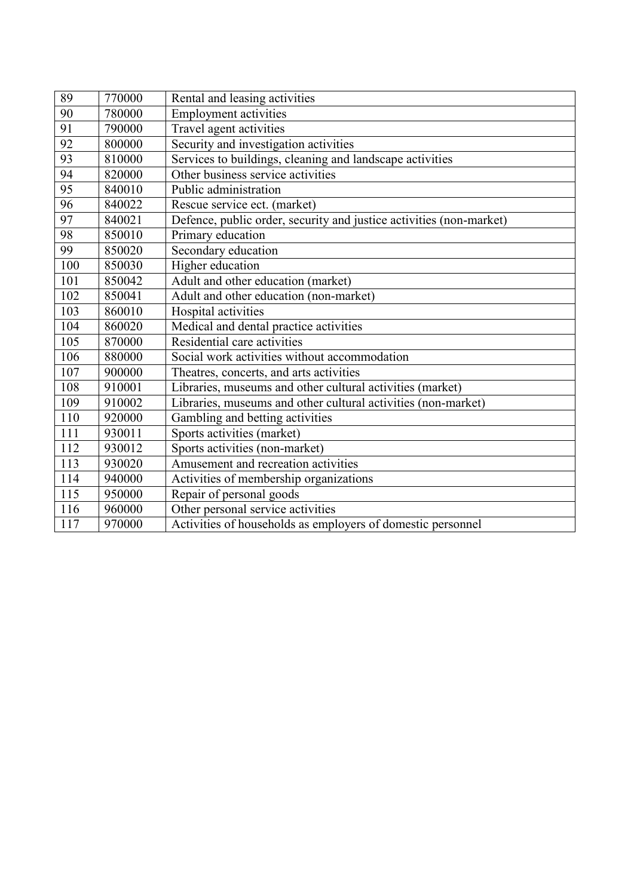| 89              | 770000 | Rental and leasing activities                                       |
|-----------------|--------|---------------------------------------------------------------------|
| 90              | 780000 | <b>Employment activities</b>                                        |
| 91              | 790000 | Travel agent activities                                             |
| $\overline{92}$ | 800000 | Security and investigation activities                               |
| 93              | 810000 | Services to buildings, cleaning and landscape activities            |
| 94              | 820000 | Other business service activities                                   |
| 95              | 840010 | Public administration                                               |
| 96              | 840022 | Rescue service ect. (market)                                        |
| 97              | 840021 | Defence, public order, security and justice activities (non-market) |
| 98              | 850010 | Primary education                                                   |
| 99              | 850020 | Secondary education                                                 |
| 100             | 850030 | Higher education                                                    |
| 101             | 850042 | Adult and other education (market)                                  |
| 102             | 850041 | Adult and other education (non-market)                              |
| 103             | 860010 | Hospital activities                                                 |
| 104             | 860020 | Medical and dental practice activities                              |
| 105             | 870000 | Residential care activities                                         |
| 106             | 880000 | Social work activities without accommodation                        |
| 107             | 900000 | Theatres, concerts, and arts activities                             |
| 108             | 910001 | Libraries, museums and other cultural activities (market)           |
| 109             | 910002 | Libraries, museums and other cultural activities (non-market)       |
| 110             | 920000 | Gambling and betting activities                                     |
| 111             | 930011 | Sports activities (market)                                          |
| 112             | 930012 | Sports activities (non-market)                                      |
| 113             | 930020 | Amusement and recreation activities                                 |
| 114             | 940000 | Activities of membership organizations                              |
| 115             | 950000 | Repair of personal goods                                            |
| 116             | 960000 | Other personal service activities                                   |
| 117             | 970000 | Activities of households as employers of domestic personnel         |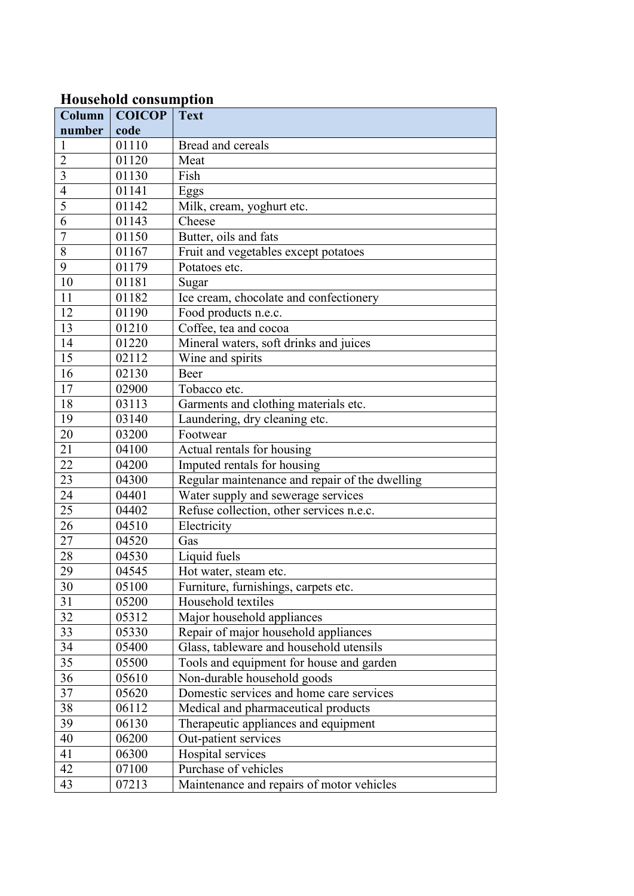### **Household consumption**

| Column          | <b>COICOP</b> | <b>Text</b>                                    |  |  |
|-----------------|---------------|------------------------------------------------|--|--|
| number          | code          |                                                |  |  |
| 1               | 01110         | Bread and cereals                              |  |  |
| $\overline{2}$  | 01120         | Meat                                           |  |  |
| 3               | 01130         | Fish                                           |  |  |
| $\overline{4}$  | 01141         | Eggs                                           |  |  |
| 5               | 01142         | Milk, cream, yoghurt etc.                      |  |  |
| 6               | 01143         | Cheese                                         |  |  |
| $\overline{7}$  | 01150         | Butter, oils and fats                          |  |  |
| 8               | 01167         | Fruit and vegetables except potatoes           |  |  |
| 9               | 01179         | Potatoes etc.                                  |  |  |
| 10              | 01181         | Sugar                                          |  |  |
| 11              | 01182         | Ice cream, chocolate and confectionery         |  |  |
| 12              | 01190         | Food products n.e.c.                           |  |  |
| 13              | 01210         | Coffee, tea and cocoa                          |  |  |
| 14              | 01220         | Mineral waters, soft drinks and juices         |  |  |
| 15              | 02112         | Wine and spirits                               |  |  |
| 16              | 02130         | Beer                                           |  |  |
| 17              | 02900         | Tobacco etc.                                   |  |  |
| 18              | 03113         | Garments and clothing materials etc.           |  |  |
| 19              | 03140         | Laundering, dry cleaning etc.                  |  |  |
| 20              | 03200         | Footwear                                       |  |  |
| 21              | 04100         | Actual rentals for housing                     |  |  |
| 22              | 04200         | Imputed rentals for housing                    |  |  |
| $\overline{23}$ | 04300         | Regular maintenance and repair of the dwelling |  |  |
| 24              | 04401         | Water supply and sewerage services             |  |  |
| 25              | 04402         | Refuse collection, other services n.e.c.       |  |  |
| 26              | 04510         | Electricity                                    |  |  |
| 27              | 04520         | Gas                                            |  |  |
| 28              | 04530         | Liquid fuels                                   |  |  |
| 29              | 04545         | Hot water, steam etc.                          |  |  |
| 30              | 05100         | Furniture, furnishings, carpets etc.           |  |  |
| 31              | 05200         | Household textiles                             |  |  |
| 32              | 05312         | Major household appliances                     |  |  |
| 33              | 05330         | Repair of major household appliances           |  |  |
| 34              | 05400         | Glass, tableware and household utensils        |  |  |
| 35              | 05500         | Tools and equipment for house and garden       |  |  |
| 36              | 05610         | Non-durable household goods                    |  |  |
| 37              | 05620         | Domestic services and home care services       |  |  |
| 38              | 06112         | Medical and pharmaceutical products            |  |  |
| 39              | 06130         | Therapeutic appliances and equipment           |  |  |
| 40              | 06200         | Out-patient services                           |  |  |
| 41              | 06300         | Hospital services                              |  |  |
| 42              | 07100         | Purchase of vehicles                           |  |  |
| 43              | 07213         | Maintenance and repairs of motor vehicles      |  |  |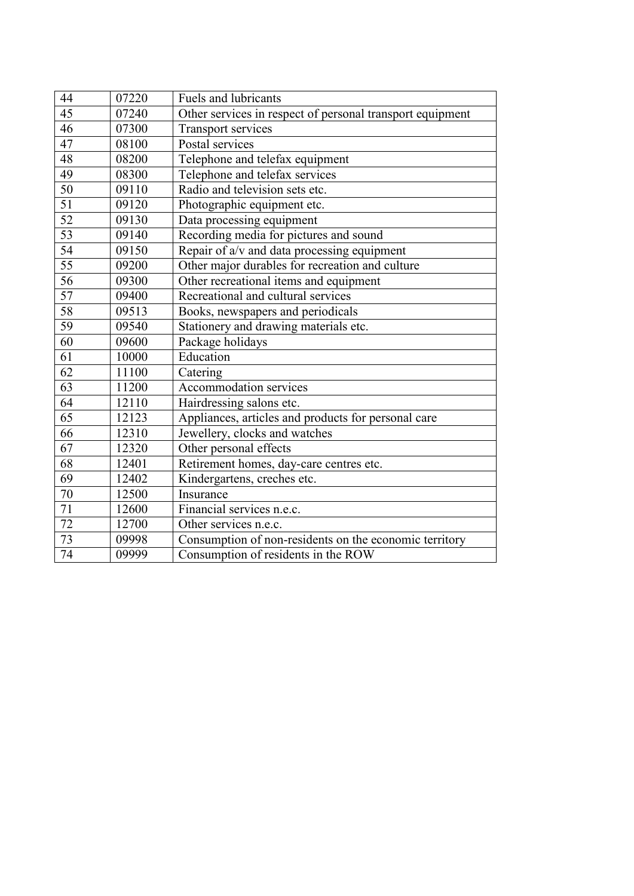| 44              | 07220 | <b>Fuels and lubricants</b>                               |
|-----------------|-------|-----------------------------------------------------------|
| $\overline{45}$ | 07240 | Other services in respect of personal transport equipment |
| 46              | 07300 | <b>Transport services</b>                                 |
| $\overline{47}$ | 08100 | Postal services                                           |
| 48              | 08200 | Telephone and telefax equipment                           |
| 49              | 08300 | Telephone and telefax services                            |
| 50              | 09110 | Radio and television sets etc.                            |
| 51              | 09120 | Photographic equipment etc.                               |
| $\overline{52}$ | 09130 | Data processing equipment                                 |
| $\overline{53}$ | 09140 | Recording media for pictures and sound                    |
| 54              | 09150 | Repair of a/v and data processing equipment               |
| $\overline{55}$ | 09200 | Other major durables for recreation and culture           |
| 56              | 09300 | Other recreational items and equipment                    |
| $\overline{57}$ | 09400 | Recreational and cultural services                        |
| 58              | 09513 | Books, newspapers and periodicals                         |
| 59              | 09540 | Stationery and drawing materials etc.                     |
| 60              | 09600 | Package holidays                                          |
| 61              | 10000 | Education                                                 |
| 62              | 11100 | Catering                                                  |
| 63              | 11200 | Accommodation services                                    |
| 64              | 12110 | Hairdressing salons etc.                                  |
| 65              | 12123 | Appliances, articles and products for personal care       |
| 66              | 12310 | Jewellery, clocks and watches                             |
| 67              | 12320 | Other personal effects                                    |
| 68              | 12401 | Retirement homes, day-care centres etc.                   |
| 69              | 12402 | Kindergartens, creches etc.                               |
| 70              | 12500 | Insurance                                                 |
| 71              | 12600 | Financial services n.e.c.                                 |
| 72              | 12700 | Other services n.e.c.                                     |
| 73              | 09998 | Consumption of non-residents on the economic territory    |
| 74              | 09999 | Consumption of residents in the ROW                       |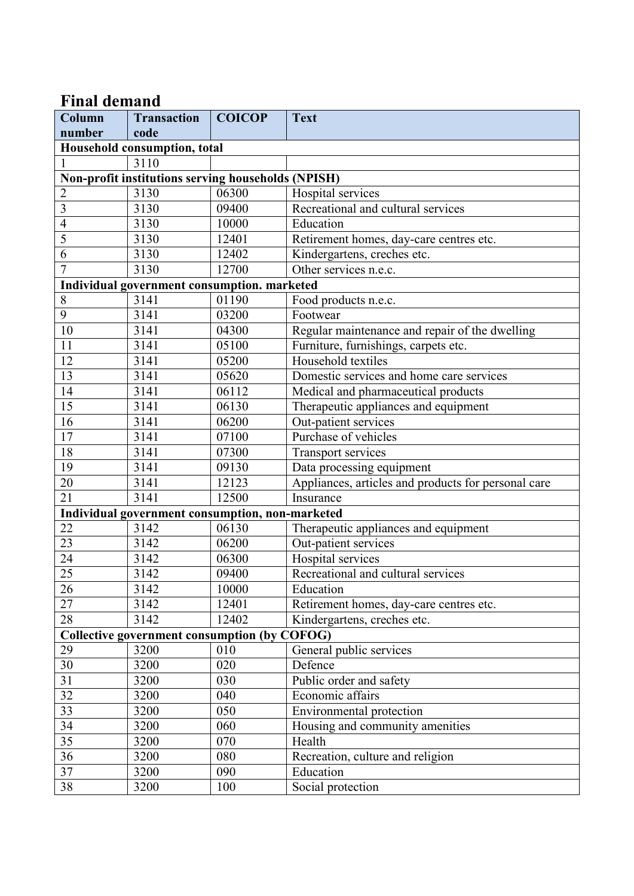# **Final demand**

| Column                                              | <b>Transaction</b>                              | <b>COICOP</b> | <b>Text</b>                                         |  |  |
|-----------------------------------------------------|-------------------------------------------------|---------------|-----------------------------------------------------|--|--|
| number                                              | code                                            |               |                                                     |  |  |
| Household consumption, total                        |                                                 |               |                                                     |  |  |
| $\mathbf{1}$                                        | 3110                                            |               |                                                     |  |  |
| Non-profit institutions serving households (NPISH)  |                                                 |               |                                                     |  |  |
| $\overline{c}$                                      | 3130                                            | 06300         | Hospital services                                   |  |  |
| $\overline{3}$                                      | 3130                                            | 09400         | Recreational and cultural services                  |  |  |
| $\overline{4}$                                      | 3130                                            | 10000         | Education                                           |  |  |
| $\overline{5}$                                      | 3130                                            | 12401         | Retirement homes, day-care centres etc.             |  |  |
| 6                                                   | 3130                                            | 12402         | Kindergartens, creches etc.                         |  |  |
| $\overline{7}$                                      | 3130                                            | 12700         | Other services n.e.c.                               |  |  |
|                                                     | Individual government consumption. marketed     |               |                                                     |  |  |
| $8\,$                                               | 3141                                            | 01190         | Food products n.e.c.                                |  |  |
| $\overline{9}$                                      | 3141                                            | 03200         | Footwear                                            |  |  |
| 10                                                  | 3141                                            | 04300         | Regular maintenance and repair of the dwelling      |  |  |
| 11                                                  | 3141                                            | 05100         | Furniture, furnishings, carpets etc.                |  |  |
| 12                                                  | 3141                                            | 05200         | Household textiles                                  |  |  |
| 13                                                  | 3141                                            | 05620         | Domestic services and home care services            |  |  |
| 14                                                  | 3141                                            | 06112         | Medical and pharmaceutical products                 |  |  |
| 15                                                  | 3141                                            | 06130         | Therapeutic appliances and equipment                |  |  |
| 16                                                  | 3141                                            | 06200         | Out-patient services                                |  |  |
| 17                                                  | 3141                                            | 07100         | Purchase of vehicles                                |  |  |
| 18                                                  | 3141                                            | 07300         | Transport services                                  |  |  |
| 19                                                  | 3141                                            | 09130         | Data processing equipment                           |  |  |
| 20                                                  | 3141                                            | 12123         | Appliances, articles and products for personal care |  |  |
| 21                                                  | 3141                                            | 12500         | Insurance                                           |  |  |
|                                                     | Individual government consumption, non-marketed |               |                                                     |  |  |
| 22                                                  | 3142                                            | 06130         | Therapeutic appliances and equipment                |  |  |
| 23                                                  | 3142                                            | 06200         | Out-patient services                                |  |  |
| 24                                                  | 3142                                            | 06300         | Hospital services                                   |  |  |
| 25                                                  | 3142                                            | 09400         | Recreational and cultural services                  |  |  |
| $\overline{26}$                                     | 3142                                            | 10000         | Education                                           |  |  |
| 27                                                  | 3142                                            | 12401         | Retirement homes, day-care centres etc.             |  |  |
| 28                                                  | 3142                                            | 12402         | Kindergartens, creches etc.                         |  |  |
| <b>Collective government consumption (by COFOG)</b> |                                                 |               |                                                     |  |  |
| 29                                                  | 3200                                            | 010           | General public services                             |  |  |
| $30\,$                                              | 3200                                            | 020           | Defence                                             |  |  |
| $\overline{31}$                                     | 3200                                            | 030           | Public order and safety                             |  |  |
| 32                                                  | 3200                                            | 040           | Economic affairs                                    |  |  |
| $\overline{33}$                                     | 3200                                            | 050           | Environmental protection                            |  |  |
| $\overline{34}$                                     | 3200                                            | 060           | Housing and community amenities                     |  |  |
| 35                                                  | 3200                                            | 070           | Health                                              |  |  |
| 36                                                  | 3200                                            | 080           | Recreation, culture and religion                    |  |  |
| $\overline{37}$                                     | 3200                                            | 090           | Education                                           |  |  |
| $\overline{38}$                                     | 3200                                            | 100           | Social protection                                   |  |  |